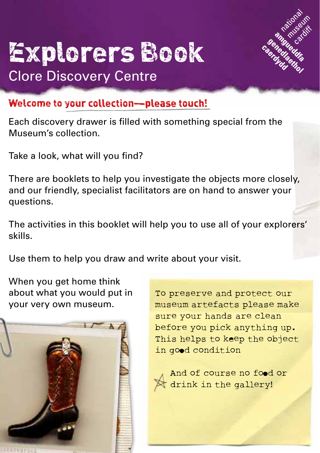

# Explorers Book Clore Discovery Centre

#### Welcome to your collection—please touch!

Each discovery drawer is filled with something special from the Museum's collection.

Take a look, what will you find?

There are booklets to help you investigate the objects more closely, and our friendly, specialist facilitators are on hand to answer your questions.

The activities in this booklet will help you to use all of your explorers' skills.

Use them to help you draw and write about your visit.

When you get home think about what you would put in your very own museum.



To preserve and protect our museum artefacts please make sure your hands are clean before you pick anything up. This helps to keep the object in good condition



And of course no food or drink in the gallery!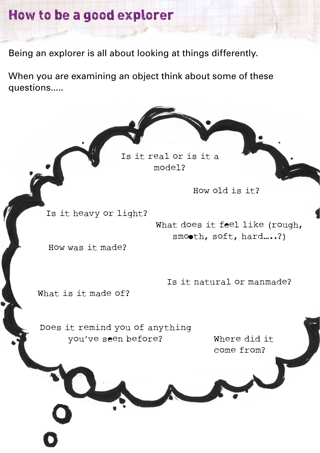#### How to be a good explorer

Being an explorer is all about looking at things differently.

When you are examining an object think about some of these questions.....

> Is it real or is it a model?

> > How old is it?

Is it heavy or light?

What does it feel like (rough, smooth, soft, hard....?)

How was it made?

Is it natural or manmade?

What is it made of?

Does it remind you of anything you've seen before?

Where did it come from?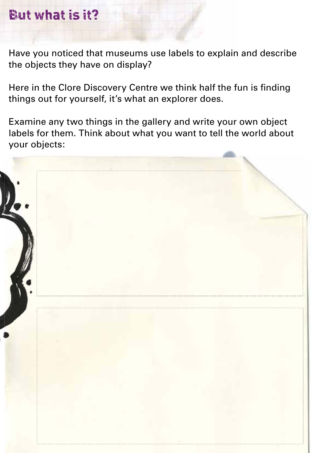### But what is it?

Have you noticed that museums use labels to explain and describe the objects they have on display?

Here in the Clore Discovery Centre we think half the fun is finding things out for yourself, it's what an explorer does.

Examine any two things in the gallery and write your own object labels for them. Think about what you want to tell the world about your objects:

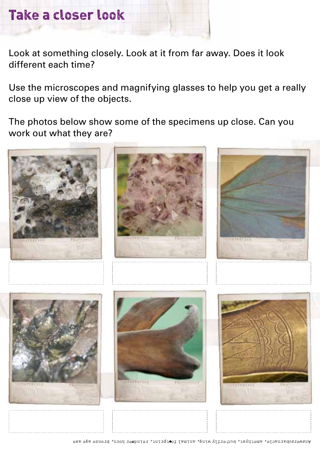### Take a closer look

Look at something closely. Look at it from far away. Does it look different each time?

Use the microscopes and magnifying glasses to help you get a really close up view of the objects.

The photos below show some of the specimens up close. Can you work out what they are?

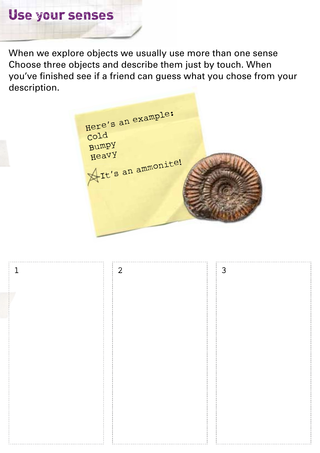When we explore objects we usually use more than one sense Choose three objects and describe them just by touch. When you've finished see if a friend can guess what you chose from your description.

Here's an example: Cold Bumpy Heavy It's an ammonite!

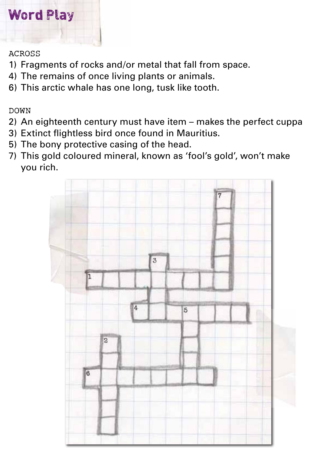## Word Play

#### ACROSS

- 1) Fragments of rocks and/or metal that fall from space.
- 4) The remains of once living plants or animals.
- 6) This arctic whale has one long, tusk like tooth.

DOWN

- 2) An eighteenth century must have item makes the perfect cuppa
- 3) Extinct flightless bird once found in Mauritius.
- 5) The bony protective casing of the head.
- 7) This gold coloured mineral, known as 'fool's gold', won't make you rich.

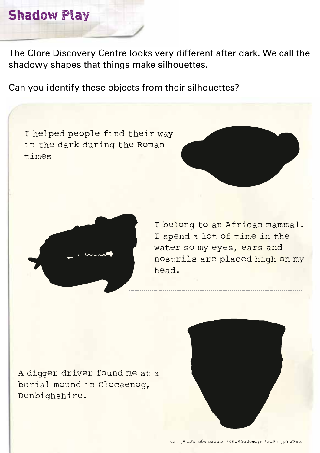#### Shadow Play

The Clore Discovery Centre looks very different after dark. We call the shadowy shapes that things make silhouettes.

Can you identify these objects from their silhouettes?

I helped people find their way in the dark during the Roman times





I belong to an African mammal. I spend a lot of time in the water so my eyes, ears and nostrils are placed high on my head.

A digger driver found me at a burial mound in Clocaenog, Denbighshire.

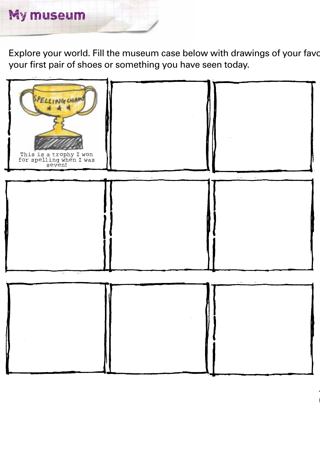

Explore your world. Fill the museum case below with drawings of your favour your first pair of shoes or something you have seen today.